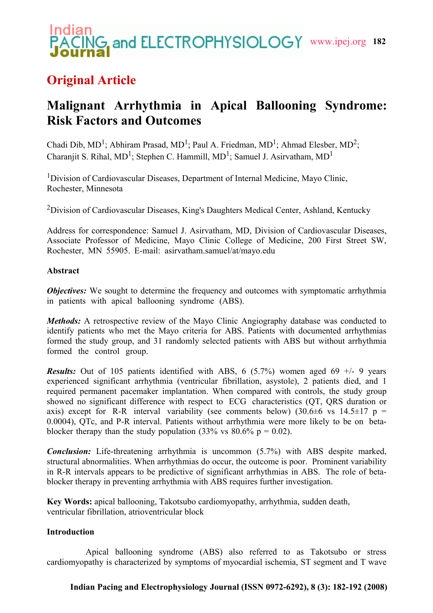# **G.** and ELECTROPHYSIOLOGY www.ipej.org 182

# **Original Article**

# **Malignant Arrhythmia in Apical Ballooning Syndrome: Risk Factors and Outcomes**

Chadi Dib, MD<sup>1</sup>; Abhiram Prasad, MD<sup>1</sup>; Paul A. Friedman, MD<sup>1</sup>; Ahmad Elesber, MD<sup>2</sup>; Charanjit S. Rihal,  $MD^1$ ; Stephen C. Hammill,  $MD^1$ ; Samuel J. Asirvatham,  $MD^1$ 

<sup>1</sup>Division of Cardiovascular Diseases, Department of Internal Medicine, Mayo Clinic, Rochester, Minnesota

<sup>2</sup>Division of Cardiovascular Diseases, King's Daughters Medical Center, Ashland, Kentucky

Address for correspondence: Samuel J. Asirvatham, MD, Division of Cardiovascular Diseases, Associate Professor of Medicine, Mayo Clinic College of Medicine, 200 First Street SW, Rochester, MN 55905. E-mail: asirvatham.samuel/at/mayo.edu

# **Abstract**

*Objectives:* We sought to determine the frequency and outcomes with symptomatic arrhythmia in patients with apical ballooning syndrome (ABS).

*Methods:* A retrospective review of the Mayo Clinic Angiography database was conducted to identify patients who met the Mayo criteria for ABS. Patients with documented arrhythmias formed the study group, and 31 randomly selected patients with ABS but without arrhythmia formed the control group.

*Results:* Out of 105 patients identified with ABS, 6 (5.7%) women aged 69  $+/-$  9 years experienced significant arrhythmia (ventricular fibrillation, asystole), 2 patients died, and 1 required permanent pacemaker implantation. When compared with controls, the study group showed no significant difference with respect to ECG characteristics (QT, QRS duration or axis) except for R-R interval variability (see comments below) (30.6 $\pm$ 6 vs 14.5 $\pm$ 17 p = 0.0004), QTc, and P-R interval. Patients without arrhythmia were more likely to be on betablocker therapy than the study population (33% vs  $80.6\%$  p = 0.02).

*Conclusion:* Life-threatening arrhythmia is uncommon (5.7%) with ABS despite marked, structural abnormalities. When arrhythmias do occur, the outcome is poor. Prominent variability in R-R intervals appears to be predictive of significant arrhythmias in ABS. The role of betablocker therapy in preventing arrhythmia with ABS requires further investigation.

**Key Words:** apical ballooning, Takotsubo cardiomyopathy, arrhythmia, sudden death, ventricular fibrillation, atrioventricular block

# **Introduction**

 Apical ballooning syndrome (ABS) also referred to as Takotsubo or stress cardiomyopathy is characterized by symptoms of myocardial ischemia, ST segment and T wave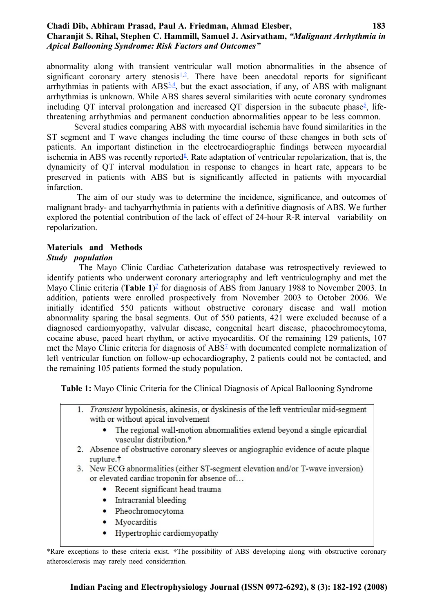#### **Chadi Dib, Abhiram Prasad, Paul A. Friedman, Ahmad Elesber, 183 Charanjit S. Rihal, Stephen C. Hammill, Samuel J. Asirvatham,** *"Malignant Arrhythmia in Apical Ballooning Syndrome: Risk Factors and Outcomes"*

<span id="page-1-7"></span><span id="page-1-6"></span><span id="page-1-5"></span><span id="page-1-4"></span>abnormality along with transient ventricular wall motion abnormalities in the absence of significant coronary artery stenosis $\frac{1}{2}$  $\frac{1}{2}$  $\frac{1}{2}$ . There have been anecdotal reports for significant arrhythmias in patients with  $\text{ABS}_{2,4}^{3,4}$  $\text{ABS}_{2,4}^{3,4}$  $\text{ABS}_{2,4}^{3,4}$  $\text{ABS}_{2,4}^{3,4}$ , but the exact association, if any, of ABS with malignant arrhythmias is unknown. While ABS shares several similarities with acute coronary syndromes including QT interval prolongation and increased QT dispersion in the subacute phase<sup>[5](#page-1-3)</sup>, lifethreatening arrhythmias and permanent conduction abnormalities appear to be less common.

<span id="page-1-3"></span><span id="page-1-2"></span> Several studies comparing ABS with myocardial ischemia have found similarities in the ST segment and T wave changes including the time course of these changes in both sets of patients. An important distinction in the electrocardiographic findings between myocardial ischemia in ABS was recently reported<sup>[6](#page-1-2)</sup>. Rate adaptation of ventricular repolarization, that is, the dynamicity of QT interval modulation in response to changes in heart rate, appears to be preserved in patients with ABS but is significantly affected in patients with myocardial infarction.

 The aim of our study was to determine the incidence, significance, and outcomes of malignant brady- and tachyarrhythmia in patients with a definitive diagnosis of ABS. We further explored the potential contribution of the lack of effect of 24-hour R-R interval variability on repolarization.

# **Materials and Methods**

## *Study population*

<span id="page-1-1"></span> The Mayo Clinic Cardiac Catheterization database was retrospectively reviewed to identify patients who underwent coronary arteriography and left ventriculography and met the Mayo Clinic criteria (Table 1)<sup>[7](#page-1-1)</sup> for diagnosis of ABS from January 1988 to November 2003. In addition, patients were enrolled prospectively from November 2003 to October 2006. We initially identified 550 patients without obstructive coronary disease and wall motion abnormality sparing the basal segments. Out of 550 patients, 421 were excluded because of a diagnosed cardiomyopathy, valvular disease, congenital heart disease, phaeochromocytoma, cocaine abuse, paced heart rhythm, or active myocarditis. Of the remaining 129 patients, 107 met the Mayo Clinic criteria for diagnosis of ABS<sup>1</sup> with documented complete normalization of left ventricular function on follow-up echocardiography, 2 patients could not be contacted, and the remaining 105 patients formed the study population.

**Table 1:** Mayo Clinic Criteria for the Clinical Diagnosis of Apical Ballooning Syndrome

- <span id="page-1-0"></span>1. Transient hypokinesis, akinesis, or dyskinesis of the left ventricular mid-segment with or without apical involvement
	- The regional wall-motion abnormalities extend beyond a single epicardial vascular distribution.\*
- 2. Absence of obstructive coronary sleeves or angiographic evidence of acute plaque rupture.<sup>†</sup>
- 3. New ECG abnormalities (either ST-segment elevation and/or T-wave inversion) or elevated cardiac troponin for absence of...
	- Recent significant head trauma
	- Intracranial bleeding
	- Pheochromocytoma
	- Myocarditis
	- Hypertrophic cardiomyopathy

<sup>\*</sup>Rare exceptions to these criteria exist. †The possibility of ABS developing along with obstructive coronary atherosclerosis may rarely need consideration.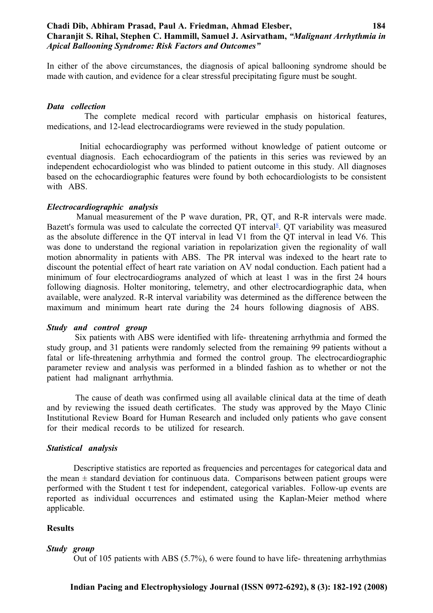#### **Chadi Dib, Abhiram Prasad, Paul A. Friedman, Ahmad Elesber, 184 Charanjit S. Rihal, Stephen C. Hammill, Samuel J. Asirvatham,** *"Malignant Arrhythmia in Apical Ballooning Syndrome: Risk Factors and Outcomes"*

In either of the above circumstances, the diagnosis of apical ballooning syndrome should be made with caution, and evidence for a clear stressful precipitating figure must be sought.

#### *Data collection*

 The complete medical record with particular emphasis on historical features, medications, and 12-lead electrocardiograms were reviewed in the study population.

 Initial echocardiography was performed without knowledge of patient outcome or eventual diagnosis. Each echocardiogram of the patients in this series was reviewed by an independent echocardiologist who was blinded to patient outcome in this study. All diagnoses based on the echocardiographic features were found by both echocardiologists to be consistent with ABS.

#### *Electrocardiographic analysis*

<span id="page-2-0"></span> Manual measurement of the P wave duration, PR, QT, and R-R intervals were made. Bazett's formula was used to calculate the corrected QT interval<sup>[8](#page-2-0)</sup>. QT variability was measured as the absolute difference in the QT interval in lead V1 from the QT interval in lead V6. This was done to understand the regional variation in repolarization given the regionality of wall motion abnormality in patients with ABS. The PR interval was indexed to the heart rate to discount the potential effect of heart rate variation on AV nodal conduction. Each patient had a minimum of four electrocardiograms analyzed of which at least 1 was in the first 24 hours following diagnosis. Holter monitoring, telemetry, and other electrocardiographic data, when available, were analyzed. R-R interval variability was determined as the difference between the maximum and minimum heart rate during the 24 hours following diagnosis of ABS.

#### *Study and control group*

 Six patients with ABS were identified with life- threatening arrhythmia and formed the study group, and 31 patients were randomly selected from the remaining 99 patients without a fatal or life-threatening arrhythmia and formed the control group. The electrocardiographic parameter review and analysis was performed in a blinded fashion as to whether or not the patient had malignant arrhythmia.

 The cause of death was confirmed using all available clinical data at the time of death and by reviewing the issued death certificates. The study was approved by the Mayo Clinic Institutional Review Board for Human Research and included only patients who gave consent for their medical records to be utilized for research.

#### *Statistical analysis*

 Descriptive statistics are reported as frequencies and percentages for categorical data and the mean  $\pm$  standard deviation for continuous data. Comparisons between patient groups were performed with the Student t test for independent, categorical variables. Follow-up events are reported as individual occurrences and estimated using the Kaplan-Meier method where applicable.

#### **Results**

#### *Study group*

Out of 105 patients with ABS (5.7%), 6 were found to have life- threatening arrhythmias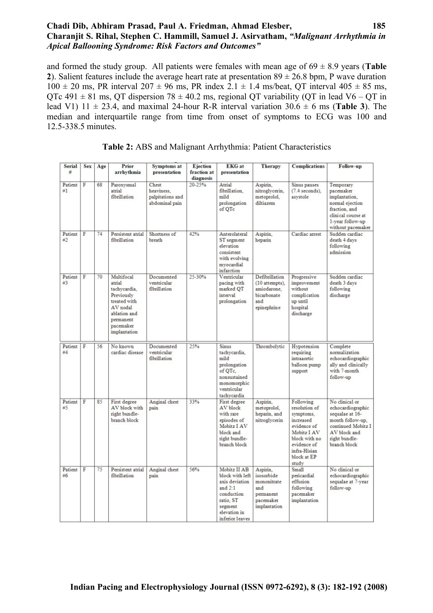## **Chadi Dib, Abhiram Prasad, Paul A. Friedman, Ahmad Elesber, 185 Charanjit S. Rihal, Stephen C. Hammill, Samuel J. Asirvatham,** *"Malignant Arrhythmia in Apical Ballooning Syndrome: Risk Factors and Outcomes"*

and formed the study group. All patients were females with mean age of  $69 \pm 8.9$  years (**Table**) **2**). Salient features include the average heart rate at presentation  $89 \pm 26.8$  bpm, P wave duration  $100 \pm 20$  ms, PR interval  $207 \pm 96$  ms, PR index  $2.1 \pm 1.4$  ms/beat, QT interval  $405 \pm 85$  ms, QTc 491  $\pm$  81 ms, QT dispersion 78  $\pm$  40.2 ms, regional QT variability (QT in lead V6 – QT in lead V1)  $11 \pm 23.4$ , and maximal 24-hour R-R interval variation  $30.6 \pm 6$  ms (**Table 3**). The median and interquartile range from time from onset of symptoms to ECG was 100 and 12.5-338.5 minutes.

| Serial        | <b>Sex</b>     | Age | Prior                                                                                                                                    | Symptoms at                                               | Ejection                 | <b>EKG</b> at                                                                                                                           | Therapy                                                                                | Complications                                                                                                                                              | Follow-up                                                                                                                                         |
|---------------|----------------|-----|------------------------------------------------------------------------------------------------------------------------------------------|-----------------------------------------------------------|--------------------------|-----------------------------------------------------------------------------------------------------------------------------------------|----------------------------------------------------------------------------------------|------------------------------------------------------------------------------------------------------------------------------------------------------------|---------------------------------------------------------------------------------------------------------------------------------------------------|
| #             |                |     | arrhythmia                                                                                                                               | presentation                                              | fraction at<br>diagnosis | presentation                                                                                                                            |                                                                                        |                                                                                                                                                            |                                                                                                                                                   |
| Patient<br>#1 | F              | 68  | Paroxysmal<br>atrial<br>fibrillation                                                                                                     | Chest<br>heaviness.<br>palpitations and<br>abdominal pain | 20-25%                   | Atrial<br>fibrillation.<br>mild<br>prolongation<br>of QTc                                                                               | Aspirin.<br>nitroglycerin,<br>metoprolol,<br>diltiazem                                 | Sinus pauses<br>$(7.4$ seconds),<br>asystole                                                                                                               | Temporary<br>pacemaker<br>implantation.<br>normal ejection<br>fraction, and<br>clinical course at<br>1-year follow-up<br>without pacemaker        |
| Patient<br>#2 | $\overline{F}$ | 74  | Persistent atrial<br>fibrillation                                                                                                        | Shortness of<br>breath                                    | 42%                      | Anterolateral<br>ST segment<br>elevation<br>consistent<br>with evolving<br>myocardial<br>infarction                                     | Aspirin.<br>heparin                                                                    | Cardiac arrest                                                                                                                                             | Sudden cardiac<br>death 4 days<br>following<br>admission                                                                                          |
| Patient<br>#3 | $\rm F$        | 70  | Multifocal<br>atrial<br>tachycardia.<br>Previously<br>treated with<br>AV nodal<br>ablation and<br>permanent<br>pacemaker<br>implantation | Documented<br>ventricular<br>fibrillation                 | 25-30%                   | Ventricular<br>pacing with<br>marked OT<br>interval<br>prolongation                                                                     | Defibrillation<br>(10 attempts),<br>amiodarone.<br>bicarbonate<br>and<br>epinephrine   | Progressive<br>improvement<br>without<br>complication<br>up until<br>hospital<br>discharge                                                                 | Sudden cardiac<br>death 3 days<br>following<br>discharge                                                                                          |
| Patient<br>#4 | $\overline{F}$ | 56  | No known<br>cardiac disease                                                                                                              | Documented<br>ventricular<br>fibrillation                 | 25%                      | Sinus<br>tachycardia,<br>mild<br>prolongation<br>of OTc.<br>nonsustained<br>monomorphic<br>ventricular<br>tachvcardia                   | Thrombolytic                                                                           | Hypotension<br>requiring<br>intraaortic<br>balloon pump<br>support                                                                                         | Complete<br>normalization<br>echocardiographic<br>ally and clinically<br>with 7-month<br>follow-up                                                |
| Patient<br>#5 | F              | 85  | First degree<br>AV block with<br>right bundle-<br>branch block                                                                           | Anginal chest<br>pain                                     | 33%                      | First degree<br>AV block<br>with rare<br>episodes of<br>Mobitz I AV<br>block and<br>right bundle-<br>branch block                       | Aspirin.<br>metoprolol,<br>heparin, and<br>nitroglycerin                               | Following<br>resolution of<br>symptoms.<br>increased<br>evidence of<br>Mobitz I AV<br>block with no<br>evidence of<br>infra-Hisian<br>block at EP<br>study | No clinical or<br>echocardiographic<br>sequalae at 16-<br>month follow-up.<br>continued Mobitz I<br>AV block and<br>right bundle-<br>branch block |
| Patient<br>#6 | $\overline{F}$ | 75  | Persistent atrial<br>fibrillation                                                                                                        | Anginal chest<br>pain                                     | 56%                      | Mobitz II AB<br>block with left<br>axis deviation<br>and $2:1$<br>conduction<br>ratio, ST<br>segment<br>elevation in<br>inferior leaves | Aspirin.<br>isosorbide<br>mononitrate<br>and<br>permanent<br>pacemaker<br>implantation | Small<br>pericardial<br>effusion<br>following<br>pacemaker<br>implantation                                                                                 | No clinical or<br>echocardiographic<br>sequalae at 7-year<br>follow-up                                                                            |

**Table 2:** ABS and Malignant Arrhythmia: Patient Characteristics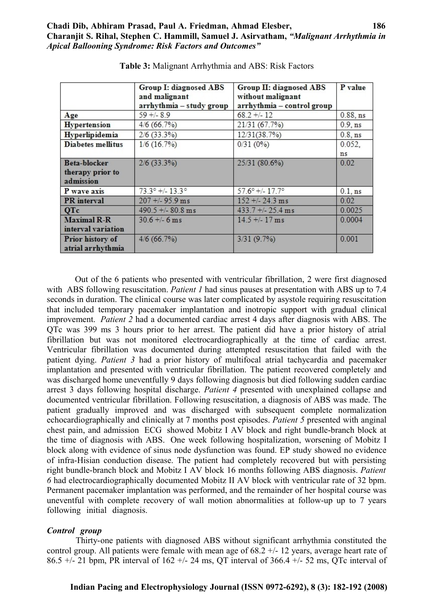|                                               | Group I: diagnosed ABS<br>and malignant<br>arrhythmia - study group | Group II: diagnosed ABS<br>without malignant<br>arrhythmia - control group | P value    |
|-----------------------------------------------|---------------------------------------------------------------------|----------------------------------------------------------------------------|------------|
| Age                                           | $59 + 8.9$                                                          | $68.2 + 12$                                                                | 0.88, ns   |
| Hypertension                                  | 4/6(66.7%)                                                          | 21/31 (67.7%)                                                              | $0.9$ , ns |
| Hyperlipidemia                                | $2/6$ (33.3%)                                                       | 12/31(38.7%)                                                               | $0.8$ , ns |
| <b>Diabetes mellitus</b>                      | 1/6(16.7%)                                                          | 0/31(0%)                                                                   | 0.052,     |
|                                               |                                                                     |                                                                            | ns         |
| Beta-blocker<br>therapy prior to<br>admission | $2/6$ (33.3%)                                                       | 25/31 (80.6%)                                                              | 0.02       |
| P wave axis                                   | $73.3^{\circ}$ +/- $13.3^{\circ}$                                   | $57.6^{\circ}$ +/- $17.7^{\circ}$                                          | $0.1$ , ns |
| PR interval                                   | $207 + 95.9$ ms                                                     | $152 + (-24.3)$ ms                                                         | 0.02       |
| QTc                                           | $490.5 + 80.8$ ms                                                   | $433.7 + 25.4$ ms                                                          | 0.0025     |
| <b>Maximal R-R</b><br>interval variation      | $30.6 + (-6)$ ms                                                    | $14.5 + (-17)$ ms                                                          | 0.0004     |
| Prior history of<br>atrial arrhythmia         | 4/6(66.7%)                                                          | 3/31(9.7%)                                                                 | 0.001      |

**Table 3:** Malignant Arrhythmia and ABS: Risk Factors

 Out of the 6 patients who presented with ventricular fibrillation, 2 were first diagnosed with ABS following resuscitation. *Patient 1* had sinus pauses at presentation with ABS up to 7.4 seconds in duration. The clinical course was later complicated by asystole requiring resuscitation that included temporary pacemaker implantation and inotropic support with gradual clinical improvement. *Patient 2* had a documented cardiac arrest 4 days after diagnosis with ABS. The QTc was 399 ms 3 hours prior to her arrest. The patient did have a prior history of atrial fibrillation but was not monitored electrocardiographically at the time of cardiac arrest. Ventricular fibrillation was documented during attempted resuscitation that failed with the patient dying. *Patient 3* had a prior history of multifocal atrial tachycardia and pacemaker implantation and presented with ventricular fibrillation. The patient recovered completely and was discharged home uneventfully 9 days following diagnosis but died following sudden cardiac arrest 3 days following hospital discharge. *Patient 4* presented with unexplained collapse and documented ventricular fibrillation. Following resuscitation, a diagnosis of ABS was made. The patient gradually improved and was discharged with subsequent complete normalization echocardiographically and clinically at 7 months post episodes. *Patient 5* presented with anginal chest pain, and admission ECG showed Mobitz I AV block and right bundle-branch block at the time of diagnosis with ABS. One week following hospitalization, worsening of Mobitz I block along with evidence of sinus node dysfunction was found. EP study showed no evidence of infra-Hisian conduction disease. The patient had completely recovered but with persisting right bundle-branch block and Mobitz I AV block 16 months following ABS diagnosis. *Patient 6* had electrocardiographically documented Mobitz II AV block with ventricular rate of 32 bpm. Permanent pacemaker implantation was performed, and the remainder of her hospital course was uneventful with complete recovery of wall motion abnormalities at follow-up up to 7 years following initial diagnosis.

#### *Control group*

 Thirty-one patients with diagnosed ABS without significant arrhythmia constituted the control group. All patients were female with mean age of  $68.2 +/- 12$  years, average heart rate of 86.5 +/- 21 bpm, PR interval of  $162 +$ /- 24 ms, QT interval of 366.4 +/- 52 ms, QTc interval of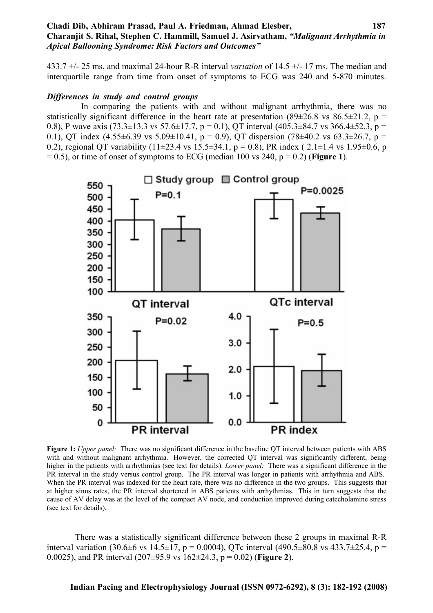#### **Chadi Dib, Abhiram Prasad, Paul A. Friedman, Ahmad Elesber, 187 Charanjit S. Rihal, Stephen C. Hammill, Samuel J. Asirvatham,** *"Malignant Arrhythmia in Apical Ballooning Syndrome: Risk Factors and Outcomes"*

433.7 +/- 25 ms, and maximal 24-hour R-R interval *variation* of 14.5 +/- 17 ms. The median and interquartile range from time from onset of symptoms to ECG was 240 and 5-870 minutes.

#### *Differences in study and control groups*

 In comparing the patients with and without malignant arrhythmia, there was no statistically significant difference in the heart rate at presentation (89 $\pm$ 26.8 vs 86.5 $\pm$ 21.2, p = 0.8), P wave axis (73.3 $\pm$ 13.3 vs 57.6 $\pm$ 17.7, p = 0.1), QT interval (405.3 $\pm$ 84.7 vs 366.4 $\pm$ 52.3, p = 0.1), QT index  $(4.55\pm6.39 \text{ vs } 5.09\pm10.41, p = 0.9)$ , QT dispersion  $(78\pm40.2 \text{ vs } 63.3\pm26.7, p =$ 0.2), regional QT variability (11±23.4 vs 15.5±34.1, p = 0.8), PR index (2.1±1.4 vs 1.95±0.6, p  $= 0.5$ ), or time of onset of symptoms to ECG (median 100 vs 240,  $p = 0.2$ ) (**Figure 1**).



**Figure 1:** *Upper panel:* There was no significant difference in the baseline QT interval between patients with ABS with and without malignant arrhythmia. However, the corrected QT interval was significantly different, being higher in the patients with arrhythmias (see text for details). *Lower panel:* There was a significant difference in the PR interval in the study versus control group. The PR interval was longer in patients with arrhythmia and ABS. When the PR interval was indexed for the heart rate, there was no difference in the two groups. This suggests that at higher sinus rates, the PR interval shortened in ABS patients with arrhythmias. This in turn suggests that the cause of AV delay was at the level of the compact AV node, and conduction improved during catecholamine stress (see text for details).

 There was a statistically significant difference between these 2 groups in maximal R-R interval variation (30.6 $\pm$ 6 vs 14.5 $\pm$ 17, p = 0.0004), OTc interval (490.5 $\pm$ 80.8 vs 433.7 $\pm$ 25.4, p = 0.0025), and PR interval (207±95.9 vs 162±24.3, p = 0.02) (**Figure 2**).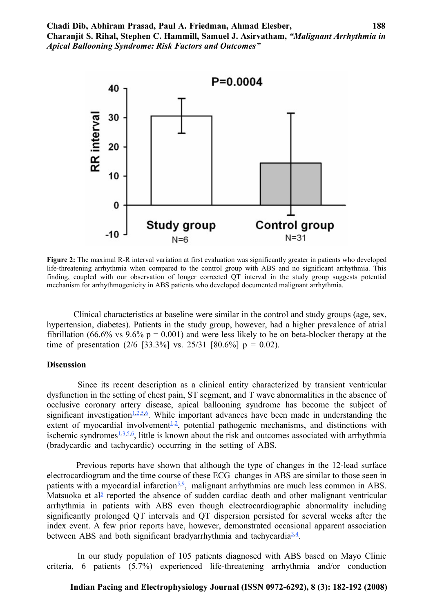

Figure 2: The maximal R-R interval variation at first evaluation was significantly greater in patients who developed life-threatening arrhythmia when compared to the control group with ABS and no significant arrhythmia. This finding, coupled with our observation of longer corrected QT interval in the study group suggests potential mechanism for arrhythmogenicity in ABS patients who developed documented malignant arrhythmia.

 Clinical characteristics at baseline were similar in the control and study groups (age, sex, hypertension, diabetes). Patients in the study group, however, had a higher prevalence of atrial fibrillation (66.6% vs  $9.6\%$  p = 0.001) and were less likely to be on beta-blocker therapy at the time of presentation  $(2/6 \, [33.3\%] \, \text{vs.} \, 25/31 \, [80.6\%] \, \text{p} = 0.02)$ .

#### **Discussion**

<span id="page-6-14"></span><span id="page-6-13"></span><span id="page-6-12"></span><span id="page-6-11"></span><span id="page-6-10"></span><span id="page-6-9"></span> Since its recent description as a clinical entity characterized by transient ventricular dysfunction in the setting of chest pain, ST segment, and T wave abnormalities in the absence of occlusive coronary artery disease, apical ballooning syndrome has become the subject of significant investigation<sup> $1,2,5,6$  $1,2,5,6$  $1,2,5,6$  $1,2,5,6$ </sup>. While important advances have been made in understanding the extent of myocardial involvement<sup>[1](#page-6-10)[,2](#page-6-9)</sup>, potential pathogenic mechanisms, and distinctions with ischemic syndromes $\frac{1,3,5,6}{2}$  $\frac{1,3,5,6}{2}$  $\frac{1,3,5,6}{2}$  $\frac{1,3,5,6}{2}$  $\frac{1,3,5,6}{2}$  $\frac{1,3,5,6}{2}$ , little is known about the risk and outcomes associated with arrhythmia (bradycardic and tachycardic) occurring in the setting of ABS.

<span id="page-6-8"></span><span id="page-6-7"></span><span id="page-6-6"></span><span id="page-6-5"></span><span id="page-6-4"></span><span id="page-6-3"></span><span id="page-6-2"></span> Previous reports have shown that although the type of changes in the 12-lead surface electrocardiogram and the time course of these ECG changes in ABS are similar to those seen in patients with a myocardial infarction<sup>[5](#page-6-4)[,9](#page-6-3)</sup>, malignant arrhythmias are much less common in ABS. Matsuoka et al<sup>[5](#page-6-2)</sup> reported the absence of sudden cardiac death and other malignant ventricular arrhythmia in patients with ABS even though electrocardiographic abnormality including significantly prolonged QT intervals and QT dispersion persisted for several weeks after the index event. A few prior reports have, however, demonstrated occasional apparent association between ABS and both significant bradyarrhythmia and tachycardia<sup>[3](#page-6-1)[,4](#page-6-0)</sup>.

 In our study population of 105 patients diagnosed with ABS based on Mayo Clinic criteria, 6 patients (5.7%) experienced life-threatening arrhythmia and/or conduction

## <span id="page-6-1"></span><span id="page-6-0"></span>**Indian Pacing and Electrophysiology Journal (ISSN 0972-6292), 8 (3): 182-192 (2008)**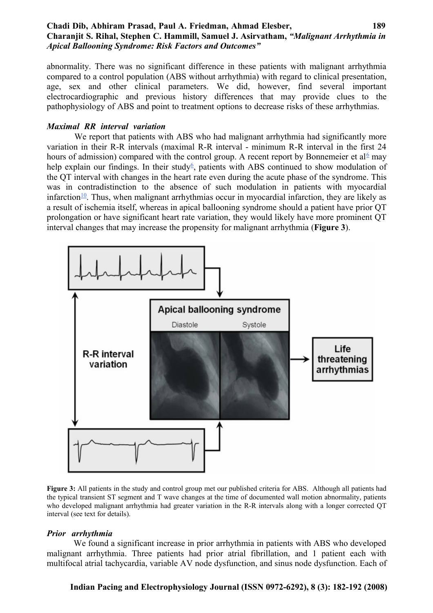## **Chadi Dib, Abhiram Prasad, Paul A. Friedman, Ahmad Elesber, 189 Charanjit S. Rihal, Stephen C. Hammill, Samuel J. Asirvatham,** *"Malignant Arrhythmia in Apical Ballooning Syndrome: Risk Factors and Outcomes"*

abnormality. There was no significant difference in these patients with malignant arrhythmia compared to a control population (ABS without arrhythmia) with regard to clinical presentation, age, sex and other clinical parameters. We did, however, find several important electrocardiographic and previous history differences that may provide clues to the pathophysiology of ABS and point to treatment options to decrease risks of these arrhythmias.

#### *Maximal RR interval variation*

<span id="page-7-2"></span><span id="page-7-1"></span>We report that patients with ABS who had malignant arrhythmia had significantly more variation in their R-R intervals (maximal R-R interval - minimum R-R interval in the first 24 hours of admission) compared with the control group. A recent report by Bonnemeier et al<sup>[6](#page-7-2)</sup> may help explain our findings. In their study<sup>[6](#page-7-1)</sup>, patients with ABS continued to show modulation of the QT interval with changes in the heart rate even during the acute phase of the syndrome. This was in contradistinction to the absence of such modulation in patients with myocardial infarction<sup>[10](#page-7-0)</sup>. Thus, when malignant arrhythmias occur in myocardial infarction, they are likely as a result of ischemia itself, whereas in apical ballooning syndrome should a patient have prior QT prolongation or have significant heart rate variation, they would likely have more prominent QT interval changes that may increase the propensity for malignant arrhythmia (**Figure 3**).

<span id="page-7-0"></span>

**Figure 3:** All patients in the study and control group met our published criteria for ABS. Although all patients had the typical transient ST segment and T wave changes at the time of documented wall motion abnormality, patients who developed malignant arrhythmia had greater variation in the R-R intervals along with a longer corrected QT interval (see text for details).

#### *Prior arrhythmia*

 We found a significant increase in prior arrhythmia in patients with ABS who developed malignant arrhythmia. Three patients had prior atrial fibrillation, and 1 patient each with multifocal atrial tachycardia, variable AV node dysfunction, and sinus node dysfunction. Each of

#### **Indian Pacing and Electrophysiology Journal (ISSN 0972-6292), 8 (3): 182-192 (2008)**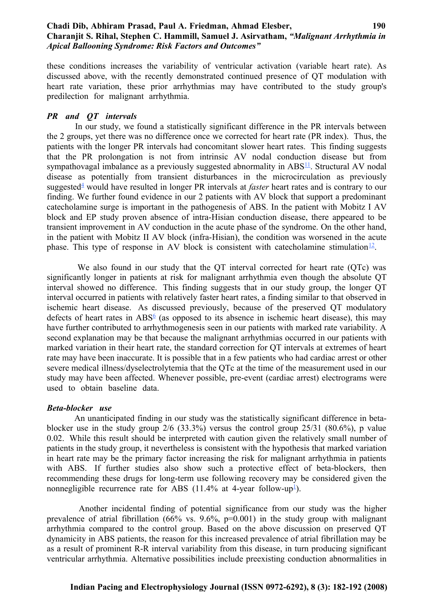#### **Chadi Dib, Abhiram Prasad, Paul A. Friedman, Ahmad Elesber, 190 Charanjit S. Rihal, Stephen C. Hammill, Samuel J. Asirvatham,** *"Malignant Arrhythmia in Apical Ballooning Syndrome: Risk Factors and Outcomes"*

these conditions increases the variability of ventricular activation (variable heart rate). As discussed above, with the recently demonstrated continued presence of QT modulation with heart rate variation, these prior arrhythmias may have contributed to the study group's predilection for malignant arrhythmia.

#### *PR and QT intervals*

<span id="page-8-4"></span><span id="page-8-3"></span> In our study, we found a statistically significant difference in the PR intervals between the 2 groups, yet there was no difference once we corrected for heart rate (PR index). Thus, the patients with the longer PR intervals had concomitant slower heart rates. This finding suggests that the PR prolongation is not from intrinsic AV nodal conduction disease but from sympathovagal imbalance as a previously suggested abnormality in ABS<sup>[11](#page-8-4)</sup>. Structural AV nodal disease as potentially from transient disturbances in the microcirculation as previously suggested<sup>[4](#page-8-3)</sup> would have resulted in longer PR intervals at *faster* heart rates and is contrary to our finding. We further found evidence in our 2 patients with AV block that support a predominant catecholamine surge is important in the pathogenesis of ABS. In the patient with Mobitz I AV block and EP study proven absence of intra-Hisian conduction disease, there appeared to be transient improvement in AV conduction in the acute phase of the syndrome. On the other hand, in the patient with Mobitz II AV block (infra-Hisian), the condition was worsened in the acute phase. This type of response in AV block is consistent with cate cholamine stimulation  $\frac{12}{1}$  $\frac{12}{1}$  $\frac{12}{1}$ .

<span id="page-8-2"></span><span id="page-8-1"></span>We also found in our study that the OT interval corrected for heart rate (OTc) was significantly longer in patients at risk for malignant arrhythmia even though the absolute QT interval showed no difference. This finding suggests that in our study group, the longer QT interval occurred in patients with relatively faster heart rates, a finding similar to that observed in ischemic heart disease. As discussed previously, because of the preserved QT modulatory defects of heart rates in ABS $6$  (as opposed to its absence in ischemic heart disease), this may have further contributed to arrhythmogenesis seen in our patients with marked rate variability. A second explanation may be that because the malignant arrhythmias occurred in our patients with marked variation in their heart rate, the standard correction for QT intervals at extremes of heart rate may have been inaccurate. It is possible that in a few patients who had cardiac arrest or other severe medical illness/dyselectrolytemia that the QTc at the time of the measurement used in our study may have been affected. Whenever possible, pre-event (cardiac arrest) electrograms were used to obtain baseline data.

#### *Beta-blocker use*

 An unanticipated finding in our study was the statistically significant difference in betablocker use in the study group 2/6 (33.3%) versus the control group 25/31 (80.6%), p value 0.02. While this result should be interpreted with caution given the relatively small number of patients in the study group, it nevertheless is consistent with the hypothesis that marked variation in heart rate may be the primary factor increasing the risk for malignant arrhythmia in patients with ABS. If further studies also show such a protective effect of beta-blockers, then recommending these drugs for long-term use following recovery may be considered given the nonnegligible recurrence rate for ABS  $(11.4\% \text{ at } 4\text{-year follow-up}^{\text{-}})$  $(11.4\% \text{ at } 4\text{-year follow-up}^{\text{-}})$  $(11.4\% \text{ at } 4\text{-year follow-up}^{\text{-}})$ .

<span id="page-8-0"></span> Another incidental finding of potential significance from our study was the higher prevalence of atrial fibrillation  $(66\%$  vs. 9.6%,  $p=0.001$ ) in the study group with malignant arrhythmia compared to the control group. Based on the above discussion on preserved QT dynamicity in ABS patients, the reason for this increased prevalence of atrial fibrillation may be as a result of prominent R-R interval variability from this disease, in turn producing significant ventricular arrhythmia. Alternative possibilities include preexisting conduction abnormalities in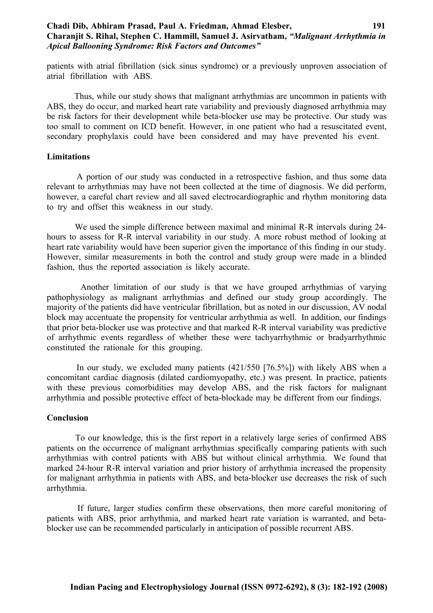#### **Chadi Dib, Abhiram Prasad, Paul A. Friedman, Ahmad Elesber, 191 Charanjit S. Rihal, Stephen C. Hammill, Samuel J. Asirvatham,** *"Malignant Arrhythmia in Apical Ballooning Syndrome: Risk Factors and Outcomes"*

patients with atrial fibrillation (sick sinus syndrome) or a previously unproven association of atrial fibrillation with ABS.

 Thus, while our study shows that malignant arrhythmias are uncommon in patients with ABS, they do occur, and marked heart rate variability and previously diagnosed arrhythmia may be risk factors for their development while beta-blocker use may be protective. Our study was too small to comment on ICD benefit. However, in one patient who had a resuscitated event, secondary prophylaxis could have been considered and may have prevented his event.

#### **Limitations**

 A portion of our study was conducted in a retrospective fashion, and thus some data relevant to arrhythmias may have not been collected at the time of diagnosis. We did perform, however, a careful chart review and all saved electrocardiographic and rhythm monitoring data to try and offset this weakness in our study.

 We used the simple difference between maximal and minimal R-R intervals during 24 hours to assess for R-R interval variability in our study. A more robust method of looking at heart rate variability would have been superior given the importance of this finding in our study. However, similar measurements in both the control and study group were made in a blinded fashion, thus the reported association is likely accurate.

 Another limitation of our study is that we have grouped arrhythmias of varying pathophysiology as malignant arrhythmias and defined our study group accordingly. The majority of the patients did have ventricular fibrillation, but as noted in our discussion, AV nodal block may accentuate the propensity for ventricular arrhythmia as well. In addition, our findings that prior beta-blocker use was protective and that marked R-R interval variability was predictive of arrhythmic events regardless of whether these were tachyarrhythmic or bradyarrhythmic constituted the rationale for this grouping.

 In our study, we excluded many patients (421/550 [76.5%]) with likely ABS when a concomitant cardiac diagnosis (dilated cardiomyopathy, etc.) was present. In practice, patients with these previous comorbidities may develop ABS, and the risk factors for malignant arrhythmia and possible protective effect of beta-blockade may be different from our findings.

#### **Conclusion**

 To our knowledge, this is the first report in a relatively large series of confirmed ABS patients on the occurrence of malignant arrhythmias specifically comparing patients with such arrhythmias with control patients with ABS but without clinical arrhythmia. We found that marked 24-hour R-R interval variation and prior history of arrhythmia increased the propensity for malignant arrhythmia in patients with ABS, and beta-blocker use decreases the risk of such arrhythmia.

 If future, larger studies confirm these observations, then more careful monitoring of patients with ABS, prior arrhythmia, and marked heart rate variation is warranted, and betablocker use can be recommended particularly in anticipation of possible recurrent ABS.